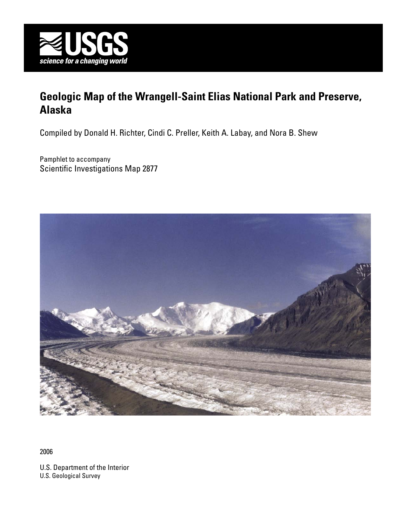

# **Geologic Map of the Wrangell-Saint Elias National Park and Preserve, Alaska**

Compiled by Donald H. Richter, Cindi C. Preller, Keith A. Labay, and Nora B. Shew

Pamphlet to accompany Scientific Investigations Map 2877



2006

U.S. Department of the Interior U.S. Geological Survey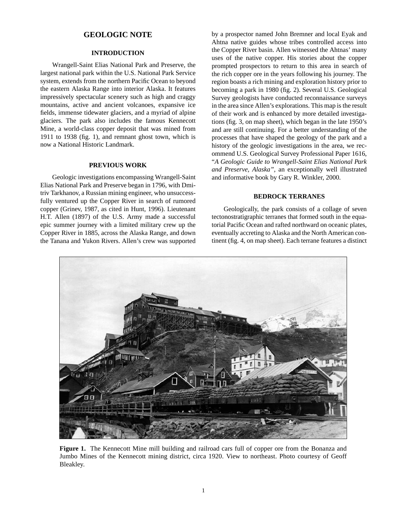# **GEOLOGIC NOTE**

### **INTRODUCTION**

Wrangell-Saint Elias National Park and Preserve, the largest national park within the U.S. National Park Service system, extends from the northern Pacific Ocean to beyond the eastern Alaska Range into interior Alaska. It features impressively spectacular scenery such as high and craggy mountains, active and ancient volcanoes, expansive ice fields, immense tidewater glaciers, and a myriad of alpine glaciers. The park also includes the famous Kennecott Mine, a world-class copper deposit that was mined from 1911 to 1938 (fig. 1), and remnant ghost town, which is now a National Historic Landmark.

#### **PREVIOUS WORK**

Geologic investigations encompassing Wrangell-Saint Elias National Park and Preserve began in 1796, with Dmitriv Tarkhanov, a Russian mining engineer, who unsuccessfully ventured up the Copper River in search of rumored copper (Grinev, 1987, as cited in Hunt, 1996). Lieutenant H.T. Allen (1897) of the U.S. Army made a successful epic summer journey with a limited military crew up the Copper River in 1885, across the Alaska Range, and down the Tanana and Yukon Rivers. Allen's crew was supported by a prospector named John Bremner and local Eyak and Ahtna native guides whose tribes controlled access into the Copper River basin. Allen witnessed the Ahtnas' many uses of the native copper. His stories about the copper prompted prospectors to return to this area in search of the rich copper ore in the years following his journey. The region boasts a rich mining and exploration history prior to becoming a park in 1980 (fig. 2). Several U.S. Geological Survey geologists have conducted reconnaissance surveys in the area since Allen's explorations. This map is the result of their work and is enhanced by more detailed investigations (fig. 3, on map sheet), which began in the late 1950's and are still continuing. For a better understanding of the processes that have shaped the geology of the park and a history of the geologic investigations in the area, we recommend U.S. Geological Survey Professional Paper 1616, "*A Geologic Guide to Wrangell-Saint Elias National Park and Preserve, Alaska",* an exceptionally well illustrated and informative book by Gary R. Winkler, 2000.

#### **BEDROCK TERRANES**

Geologically, the park consists of a collage of seven tectonostratigraphic terranes that formed south in the equatorial Pacific Ocean and rafted northward on oceanic plates, eventually accreting to Alaska and the North American continent (fig. 4, on map sheet). Each terrane features a distinct



**Figure 1.** The Kennecott Mine mill building and railroad cars full of copper ore from the Bonanza and Jumbo Mines of the Kennecott mining district, circa 1920. View to northeast. Photo courtesy of Geoff Bleakley.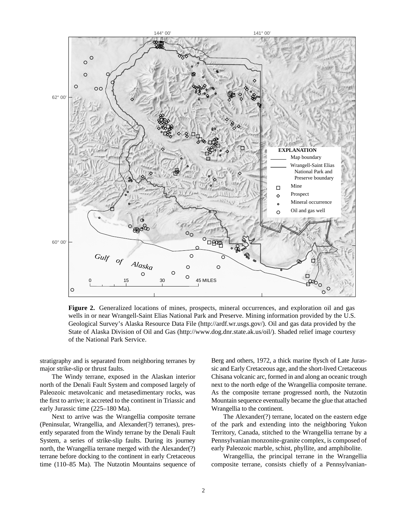

**Figure 2.** Generalized locations of mines, prospects, mineral occurrences, and exploration oil and gas wells in or near Wrangell-Saint Elias National Park and Preserve. Mining information provided by the U.S. Geological Survey's Alaska Resource Data File (http://ardf.wr.usgs.gov/). Oil and gas data provided by the State of Alaska Division of Oil and Gas (http://www.dog.dnr.state.ak.us/oil/). Shaded relief image courtesy of the National Park Service.

stratigraphy and is separated from neighboring terranes by major strike-slip or thrust faults.

The Windy terrane, exposed in the Alaskan interior north of the Denali Fault System and composed largely of Paleozoic metavolcanic and metasedimentary rocks, was the first to arrive; it accreted to the continent in Triassic and early Jurassic time (225–180 Ma).

Next to arrive was the Wrangellia composite terrane (Peninsular, Wrangellia, and Alexander(?) terranes), presently separated from the Windy terrane by the Denali Fault System, a series of strike-slip faults. During its journey north, the Wrangellia terrane merged with the Alexander(?) terrane before docking to the continent in early Cretaceous time (110–85 Ma). The Nutzotin Mountains sequence of

Berg and others, 1972, a thick marine flysch of Late Jurassic and Early Cretaceous age, and the short-lived Cretaceous Chisana volcanic arc, formed in and along an oceanic trough next to the north edge of the Wrangellia composite terrane. As the composite terrane progressed north, the Nutzotin Mountain sequence eventually became the glue that attached Wrangellia to the continent.

The Alexander(?) terrane, located on the eastern edge of the park and extending into the neighboring Yukon Territory, Canada, stitched to the Wrangellia terrane by a Pennsylvanian monzonite-granite complex, is composed of early Paleozoic marble, schist, phyllite, and amphibolite.

Wrangellia, the principal terrane in the Wrangellia composite terrane, consists chiefly of a Pennsylvanian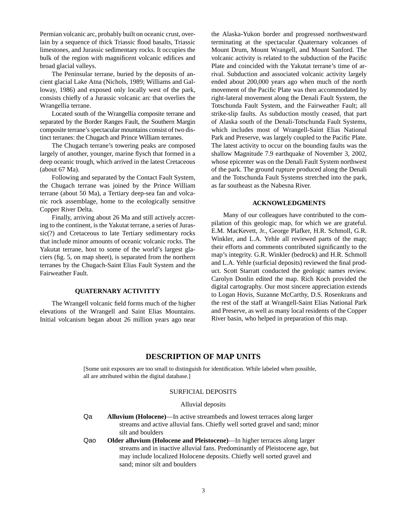Permian volcanic arc, probably built on oceanic crust, overlain by a sequence of thick Triassic flood basalts, Triassic limestones, and Jurassic sedimentary rocks. It occupies the bulk of the region with magnificent volcanic edifices and broad glacial valleys.

The Peninsular terrane, buried by the deposits of ancient glacial Lake Atna (Nichols, 1989; Williams and Galloway, 1986) and exposed only locally west of the park, consists chiefly of a Jurassic volcanic arc that overlies the Wrangellia terrane.

Located south of the Wrangellia composite terrane and separated by the Border Ranges Fault, the Southern Margin composite terrane's spectacular mountains consist of two distinct terranes: the Chugach and Prince William terranes.

The Chugach terrane's towering peaks are composed largely of another, younger, marine flysch that formed in a deep oceanic trough, which arrived in the latest Cretaceous (about 67 Ma).

Following and separated by the Contact Fault System, the Chugach terrane was joined by the Prince William terrane (about 50 Ma), a Tertiary deep-sea fan and volcanic rock assemblage, home to the ecologically sensitive Copper River Delta.

Finally, arriving about 26 Ma and still actively accreting to the continent, is the Yakutat terrane, a series of Jurassic(?) and Cretaceous to late Tertiary sedimentary rocks that include minor amounts of oceanic volcanic rocks. The Yakutat terrane, host to some of the world's largest glaciers (fig. 5, on map sheet), is separated from the northern terranes by the Chugach-Saint Elias Fault System and the Fairweather Fault.

#### **QUATERNARY ACTIVITTY**

The Wrangell volcanic field forms much of the higher elevations of the Wrangell and Saint Elias Mountains. Initial volcanism began about 26 million years ago near the Alaska-Yukon border and progressed northwestward terminating at the spectacular Quaternary volcanoes of Mount Drum, Mount Wrangell, and Mount Sanford. The volcanic activity is related to the subduction of the Pacific Plate and coincided with the Yakutat terrane's time of arrival. Subduction and associated volcanic activity largely ended about 200,000 years ago when much of the north movement of the Pacific Plate was then accommodated by right-lateral movement along the Denali Fault System, the Totschunda Fault System, and the Fairweather Fault; all strike-slip faults. As subduction mostly ceased, that part of Alaska south of the Denali-Totschunda Fault Systems, which includes most of Wrangell-Saint Elias National Park and Preserve, was largely coupled to the Pacific Plate. The latest activity to occur on the bounding faults was the shallow Magnitude 7.9 earthquake of November 3, 2002, whose epicenter was on the Denali Fault System northwest of the park. The ground rupture produced along the Denali and the Totschunda Fault Systems stretched into the park, as far southeast as the Nabesna River.

#### **ACKNOWLEDGMENTS**

Many of our colleagues have contributed to the compilation of this geologic map, for which we are grateful. E.M. MacKevett, Jr., George Plafker, H.R. Schmoll, G.R. Winkler, and L.A. Yehle all reviewed parts of the map; their efforts and comments contributed significantly to the map's integrity. G.R. Winkler (bedrock) and H.R. Schmoll and L.A. Yehle (surficial deposits) reviewed the final product. Scott Starratt conducted the geologic names review. Carolyn Donlin edited the map. Rich Koch provided the digital cartography. Our most sincere appreciation extends to Logan Hovis, Suzanne McCarthy, D.S. Rosenkrans and the rest of the staff at Wrangell-Saint Elias National Park and Preserve, as well as many local residents of the Copper River basin, who helped in preparation of this map.

# **DESCRIPTIon of MAP UNITS**

[Some unit exposures are too small to distinguish for identification. While labeled when possible, all are attributed within the digital database.]

#### SURFICIAL DEPOSITS

#### Alluvial deposits

- Qa **Alluvium (Holocene)**—In active streambeds and lowest terraces along larger streams and active alluvial fans. Chiefly well sorted gravel and sand; minor silt and boulders
- Qao **Older alluvium (Holocene and Pleistocene)**—In higher terraces along larger streams and in inactive alluvial fans. Predominantly of Pleistocene age, but may include localized Holocene deposits. Chiefly well sorted gravel and sand; minor silt and boulders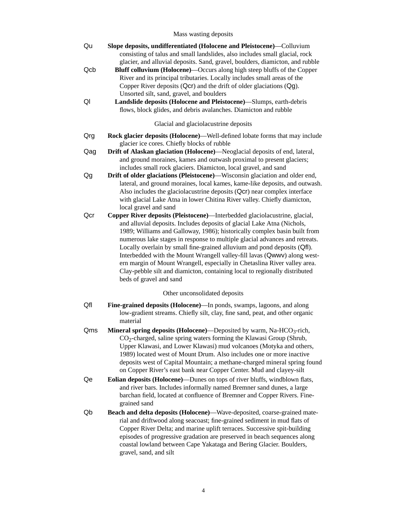# Mass wasting deposits

| Qu  | Slope deposits, undifferentiated (Holocene and Pleistocene)—Colluvium<br>consisting of talus and small landslides, also includes small glacial, rock<br>glacier, and alluvial deposits. Sand, gravel, boulders, diamicton, and rubble                                                                                                                                                                                                                                                                                                                                                                                                                           |
|-----|-----------------------------------------------------------------------------------------------------------------------------------------------------------------------------------------------------------------------------------------------------------------------------------------------------------------------------------------------------------------------------------------------------------------------------------------------------------------------------------------------------------------------------------------------------------------------------------------------------------------------------------------------------------------|
| Qcb | Bluff colluvium (Holocene)—Occurs along high steep bluffs of the Copper<br>River and its principal tributaries. Locally includes small areas of the<br>Copper River deposits (Qcr) and the drift of older glaciations (Qg).<br>Unsorted silt, sand, gravel, and boulders                                                                                                                                                                                                                                                                                                                                                                                        |
| Ql  | Landslide deposits (Holocene and Pleistocene)—Slumps, earth-debris<br>flows, block glides, and debris avalanches. Diamicton and rubble                                                                                                                                                                                                                                                                                                                                                                                                                                                                                                                          |
|     | Glacial and glaciolacustrine deposits                                                                                                                                                                                                                                                                                                                                                                                                                                                                                                                                                                                                                           |
| Qrg | Rock glacier deposits (Holocene)—Well-defined lobate forms that may include<br>glacier ice cores. Chiefly blocks of rubble                                                                                                                                                                                                                                                                                                                                                                                                                                                                                                                                      |
| Qag | Drift of Alaskan glaciation (Holocene)—Neoglacial deposits of end, lateral,<br>and ground moraines, kames and outwash proximal to present glaciers;<br>includes small rock glaciers. Diamicton, local gravel, and sand                                                                                                                                                                                                                                                                                                                                                                                                                                          |
| Qg  | Drift of older glaciations (Pleistocene)—Wisconsin glaciation and older end,<br>lateral, and ground moraines, local kames, kame-like deposits, and outwash.<br>Also includes the glaciolacustrine deposits (Qcr) near complex interface<br>with glacial Lake Atna in lower Chitina River valley. Chiefly diamicton,<br>local gravel and sand                                                                                                                                                                                                                                                                                                                    |
| Qcr | Copper River deposits (Pleistocene)—Interbedded glaciolacustrine, glacial,<br>and alluvial deposits. Includes deposits of glacial Lake Atna (Nichols,<br>1989; Williams and Galloway, 1986); historically complex basin built from<br>numerous lake stages in response to multiple glacial advances and retreats.<br>Locally overlain by small fine-grained alluvium and pond deposits (Qfl).<br>Interbedded with the Mount Wrangell valley-fill lavas (Qwwv) along west-<br>ern margin of Mount Wrangell, especially in Chetaslina River valley area.<br>Clay-pebble silt and diamicton, containing local to regionally distributed<br>beds of gravel and sand |
|     | Other unconsolidated deposits                                                                                                                                                                                                                                                                                                                                                                                                                                                                                                                                                                                                                                   |
| Qfl | Fine-grained deposits (Holocene)—In ponds, swamps, lagoons, and along<br>low-gradient streams. Chiefly silt, clay, fine sand, peat, and other organic<br>material                                                                                                                                                                                                                                                                                                                                                                                                                                                                                               |
| Qms | Mineral spring deposits (Holocene)—Deposited by warm, Na-HCO <sub>3</sub> -rich,<br>CO <sub>2</sub> -charged, saline spring waters forming the Klawasi Group (Shrub,<br>Upper Klawasi, and Lower Klawasi) mud volcanoes (Motyka and others,<br>1989) located west of Mount Drum. Also includes one or more inactive<br>deposits west of Capital Mountain; a methane-charged mineral spring found<br>on Copper River's east bank near Copper Center. Mud and clayey-silt                                                                                                                                                                                         |
| Qe  | Eolian deposits (Holocene)—Dunes on tops of river bluffs, windblown flats,<br>and river bars. Includes informally named Bremner sand dunes, a large<br>barchan field, located at confluence of Bremner and Copper Rivers. Fine-<br>grained sand                                                                                                                                                                                                                                                                                                                                                                                                                 |
| Qb  | Beach and delta deposits (Holocene)-Wave-deposited, coarse-grained mate-<br>rial and driftwood along seacoast; fine-grained sediment in mud flats of<br>Copper River Delta; and marine uplift terraces. Successive spit-building<br>episodes of progressive gradation are preserved in beach sequences along<br>coastal lowland between Cape Yakataga and Bering Glacier. Boulders,<br>gravel, sand, and silt                                                                                                                                                                                                                                                   |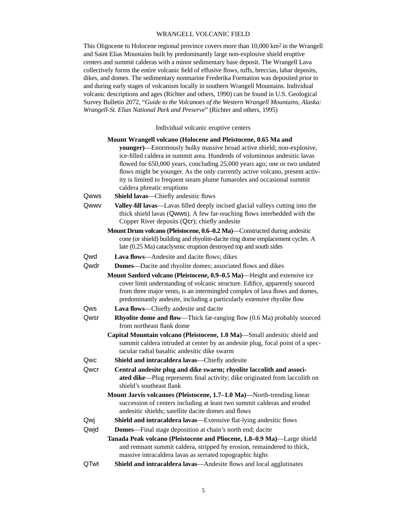# WRANGELL VOLCANIC FIELD

This Oligocene to Holocene regional province covers more than 10,000 km2 in the Wrangell and Saint Elias Mountains built by predominantly large non-explosive shield eruptive centers and summit calderas with a minor sedimentary base deposit. The Wrangell Lava collectively forms the entire volcanic field of effusive flows, tuffs, breccias, lahar deposits, dikes, and domes. The sedimentary nonmarine Frederika Formation was deposited prior to and during early stages of volcanism locally in southern Wrangell Mountains. Individual volcanic descriptions and ages (Richter and others, 1990) can be found in U.S. Geological Survey Bulletin 2072, "*Guide to the Volcanoes of the Western Wrangell Mountains, Alaska: Wrangell-St. Elias National Park and Preserve*" (Richter and others, 1995)

Individual volcanic eruptive centers

|      | Mount Wrangell volcano (Holocene and Pleistocene, 0.65 Ma and                                                                                                                                               |
|------|-------------------------------------------------------------------------------------------------------------------------------------------------------------------------------------------------------------|
|      | younger)—Enormously bulky massive broad active shield; non-explosive,                                                                                                                                       |
|      | ice-filled caldera in summit area. Hundreds of voluminous andesitic lavas                                                                                                                                   |
|      | flowed for 650,000 years, concluding 25,000 years ago; one or two undated                                                                                                                                   |
|      | flows might be younger. As the only currently active volcano, present activ-                                                                                                                                |
|      | ity is limited to frequent steam plume fumaroles and occasional summit                                                                                                                                      |
|      | caldera phreatic eruptions                                                                                                                                                                                  |
| Qwws | Shield lavas-Chiefly andesitic flows                                                                                                                                                                        |
| Qwwv | Valley-fill lavas—Lavas filled deeply incised glacial valleys cutting into the<br>thick shield lavas (Qwws). A few far-reaching flows interbedded with the<br>Copper River deposits (Qcr); chiefly andesite |
|      | Mount Drum volcano (Pleistocene, 0.6–0.2 Ma)—Constructed during andesitic                                                                                                                                   |
|      | cone (or shield) building and rhyolite-dacite ring dome emplacement cycles. A<br>late (0.25 Ma) cataclysmic eruption destroyed top and south sides                                                          |
| Qwd  | Lava flows-Andesite and dacite flows; dikes                                                                                                                                                                 |
| Qwdr | <b>Domes</b> -Dacite and rhyolite domes; associated flows and dikes                                                                                                                                         |
|      | Mount Sanford volcano (Pleistocene, 0.9-0.5 Ma)—Height and extensive ice                                                                                                                                    |
|      | cover limit understanding of volcanic structure. Edifice, apparently sourced                                                                                                                                |
|      | from three major vents, is an intermingled complex of lava flows and domes,                                                                                                                                 |
|      | predominantly andesite, including a particularly extensive rhyolite flow                                                                                                                                    |
| Qws  | Lava flows—Chiefly andesite and dacite                                                                                                                                                                      |
| Qwsr | Rhyolite dome and flow—Thick far-ranging flow (0.6 Ma) probably sourced<br>from northeast flank dome                                                                                                        |
|      | Capital Mountain volcano (Pleistocene, 1.0 Ma)-Small andesitic shield and                                                                                                                                   |
|      | summit caldera intruded at center by an andesite plug, focal point of a spec-                                                                                                                               |
|      | tacular radial basaltic andesitic dike swarm                                                                                                                                                                |
| Qwc  | Shield and intracaldera lavas-Chiefly andesite                                                                                                                                                              |
| Qwcr | Central andesite plug and dike swarm; rhyolite laccolith and associ-                                                                                                                                        |
|      | ated dike-Plug represents final activity; dike originated from laccolith on<br>shield's southeast flank                                                                                                     |
|      | Mount Jarvis volcanoes (Pleistocene, 1.7–1.0 Ma)—North-trending linear                                                                                                                                      |
|      | succession of centers including at least two summit calderas and eroded                                                                                                                                     |
|      | andesitic shields; satellite dacite domes and flows                                                                                                                                                         |
| Qwj  | Shield and intracaldera lavas—Extensive flat-lying andesitic flows                                                                                                                                          |
| Qwjd | <b>Domes</b> —Final stage deposition at chain's north end; dacite                                                                                                                                           |
|      | Tanada Peak volcano (Pleistocene and Pliocene, 1.8-0.9 Ma)—Large shield                                                                                                                                     |
|      | and remnant summit caldera, stripped by erosion, remaindered to thick,<br>massive intracaldera lavas as serrated topographic highs                                                                          |
| QTwt | Shield and intracaldera lavas-Andesite flows and local agglutinates                                                                                                                                         |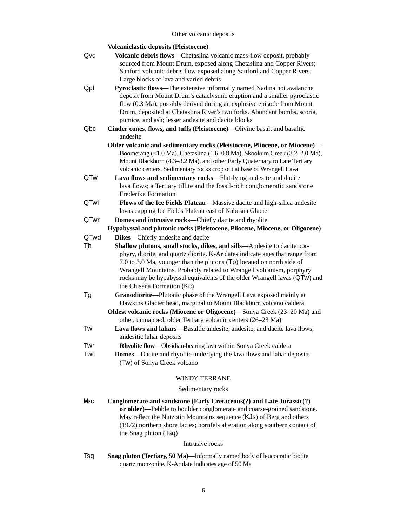# Other volcanic deposits

|      | <b>Volcaniclastic deposits (Pleistocene)</b>                                                                                                    |
|------|-------------------------------------------------------------------------------------------------------------------------------------------------|
| Qvd  | Volcanic debris flows—Chetaslina volcanic mass-flow deposit, probably                                                                           |
|      | sourced from Mount Drum, exposed along Chetaslina and Copper Rivers;                                                                            |
|      | Sanford volcanic debris flow exposed along Sanford and Copper Rivers.                                                                           |
|      | Large blocks of lava and varied debris                                                                                                          |
| Qpf  | Pyroclastic flows—The extensive informally named Nadina hot avalanche                                                                           |
|      | deposit from Mount Drum's cataclysmic eruption and a smaller pyroclastic                                                                        |
|      | flow (0.3 Ma), possibly derived during an explosive episode from Mount                                                                          |
|      | Drum, deposited at Chetaslina River's two forks. Abundant bombs, scoria,                                                                        |
|      | pumice, and ash; lesser andesite and dacite blocks                                                                                              |
| Qbc  | Cinder cones, flows, and tuffs (Pleistocene)—Olivine basalt and basaltic<br>andesite                                                            |
|      | Older volcanic and sedimentary rocks (Pleistocene, Pliocene, or Miocene)-                                                                       |
|      | Boomerang (<1.0 Ma), Chetaslina (1.6–0.8 Ma), Skookum Creek (3.2–2.0 Ma),                                                                       |
|      | Mount Blackburn (4.3-3.2 Ma), and other Early Quaternary to Late Tertiary                                                                       |
|      | volcanic centers. Sedimentary rocks crop out at base of Wrangell Lava                                                                           |
| QTw  | Lava flows and sedimentary rocks-Flat-lying andesite and dacite                                                                                 |
|      | lava flows; a Tertiary tillite and the fossil-rich conglomeratic sandstone                                                                      |
|      | Frederika Formation                                                                                                                             |
| QTwi | Flows of the Ice Fields Plateau-Massive dacite and high-silica andesite                                                                         |
|      | lavas capping Ice Fields Plateau east of Nabesna Glacier                                                                                        |
| QTwr | Domes and intrusive rocks-Chiefly dacite and rhyolite                                                                                           |
|      | Hypabyssal and plutonic rocks (Pleistocene, Pliocene, Miocene, or Oligocene)                                                                    |
| QTwd | Dikes-Chiefly andesite and dacite                                                                                                               |
| Th   | Shallow plutons, small stocks, dikes, and sills—Andesite to dacite por-                                                                         |
|      | phyry, diorite, and quartz diorite. K-Ar dates indicate ages that range from                                                                    |
|      | 7.0 to 3.0 Ma, younger than the plutons $(Tp)$ located on north side of<br>Wrangell Mountains. Probably related to Wrangell volcanism, porphyry |
|      | rocks may be hypabyssal equivalents of the older Wrangell lavas (QTw) and                                                                       |
|      | the Chisana Formation (Kc)                                                                                                                      |
| Tg   | Granodiorite-Plutonic phase of the Wrangell Lava exposed mainly at                                                                              |
|      | Hawkins Glacier head, marginal to Mount Blackburn volcano caldera                                                                               |
|      | Oldest volcanic rocks (Miocene or Oligocene)—Sonya Creek (23–20 Ma) and                                                                         |
|      | other, unmapped, older Tertiary volcanic centers (26-23 Ma)                                                                                     |
| Tw   | Lava flows and lahars—Basaltic andesite, andesite, and dacite lava flows;                                                                       |
|      | andesitic lahar deposits                                                                                                                        |
| Twr  | Rhyolite flow-Obsidian-bearing lava within Sonya Creek caldera                                                                                  |
| Twd  | <b>Domes</b> —Dacite and rhyolite underlying the lava flows and lahar deposits                                                                  |
|      | (Tw) of Sonya Creek volcano                                                                                                                     |
|      | <b>WINDY TERRANE</b>                                                                                                                            |
|      | Sedimentary rocks                                                                                                                               |
|      | $\ldots$ (Ferly Cross over $(9)$ and L                                                                                                          |

Mzc Conglomerate and sandstone (Early Cretaceous(?) and Late Jurassic(?) **or older)**—Pebble to boulder conglomerate and coarse-grained sandstone. May reflect the Nutzotin Mountains sequence (KJs) of Berg and others (1972) northern shore facies; hornfels alteration along southern contact of the Snag pluton (Tsq)

#### Intrusive rocks

Tsq **Snag pluton (Tertiary, 50 Ma)**—Informally named body of leucocratic biotite quartz monzonite. K-Ar date indicates age of 50 Ma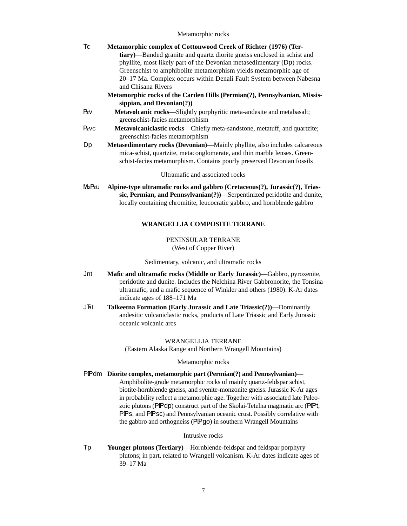#### Metamorphic rocks

| Тc    | Metamorphic complex of Cottonwood Creek of Richter (1976) (Ter-                                                                                         |
|-------|---------------------------------------------------------------------------------------------------------------------------------------------------------|
|       | tiary)—Banded granite and quartz diorite gneiss enclosed in schist and                                                                                  |
|       | phyllite, most likely part of the Devonian metasedimentary (Dp) rocks.                                                                                  |
|       | Greenschist to amphibolite metamorphism yields metamorphic age of                                                                                       |
|       | 20–17 Ma. Complex occurs within Denali Fault System between Nabesna                                                                                     |
|       | and Chisana Rivers                                                                                                                                      |
|       | Metamorphic rocks of the Carden Hills (Permian(?), Pennsylvanian, Missis-                                                                               |
|       | sippian, and $Devonian(?)$                                                                                                                              |
| Pzv   | Metavolcanic rocks—Slightly porphyritic meta-andesite and metabasalt;                                                                                   |
|       | greenschist-facies metamorphism                                                                                                                         |
| Pzvc  | Metavolcaniclastic rocks—Chiefly meta-sandstone, metatuff, and quartzite;                                                                               |
|       | greenschist-facies metamorphism                                                                                                                         |
| Dp    | Metasedimentary rocks (Devonian)-Mainly phyllite, also includes calcareous                                                                              |
|       | mica-schist, quartzite, metaconglomerate, and thin marble lenses. Green-                                                                                |
|       | schist-facies metamorphism. Contains poorly preserved Devonian fossils                                                                                  |
|       |                                                                                                                                                         |
|       | Ultramafic and associated rocks                                                                                                                         |
| MzPzu | Alpine-type ultramafic rocks and gabbro (Cretaceous(?), Jurassic(?), Trias-<br>sic, Permian, and Pennsylvanian(?))—Serpentinized peridotite and dunite, |
|       | locally containing chromitite, leucocratic gabbro, and hornblende gabbro                                                                                |

## **WRANGELLIA COMPOSITE TERRANE**

### PENINSULAR TERRANE (West of Copper River)

Sedimentary, volcanic, and ultramafic rocks

- Jnt **Mafic and ultramafic rocks (Middle or Early Jurassic)**—Gabbro, pyroxenite, peridotite and dunite. Includes the Nelchina River Gabbronorite, the Tonsina ultramafic, and a mafic sequence of Winkler and others (1980). K-Ar dates indicate ages of 188–171 Ma
- J^t **Talkeetna Formation (Early Jurassic and Late Triassic(?))**—Dominantly andesitic volcaniclastic rocks, products of Late Triassic and Early Jurassic oceanic volcanic arcs

# WRANGELLIA TERRANE (Eastern Alaska Range and Northern Wrangell Mountains)

#### Metamorphic rocks

PPdm Diorite complex, metamorphic part (Permian(?) and Pennsylvanian)— Amphibolite-grade metamorphic rocks of mainly quartz-feldspar schist, biotite-hornblende gneiss, and syenite-monzonite gneiss. Jurassic K-Ar ages in probability reflect a metamorphic age. Together with associated late Paleozoic plutons (PPdp) construct part of the Skolai-Tetelna magmatic arc (PPt, PFS, and PFSc) and Pennsylvanian oceanic crust. Possibly correlative with the gabbro and orthogneiss (PPgo) in southern Wrangell Mountains

# Intrusive rocks

Tp **Younger plutons (Tertiary)**—Hornblende-feldspar and feldspar porphyry plutons; in part, related to Wrangell volcanism. K-Ar dates indicate ages of 39–17 Ma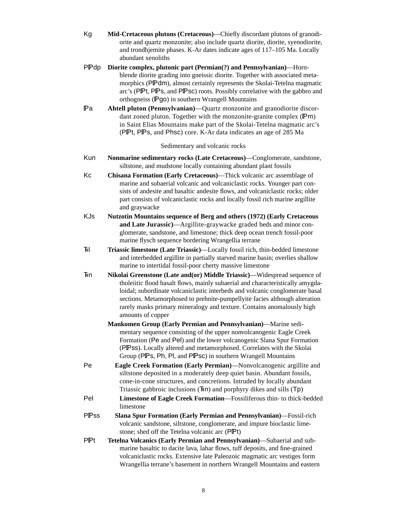- Kg **Mid-Cretaceous plutons (Cretaceous)**—Chiefly discordant plutons of granodiorite and quartz monzonite; also include quartz diorite, diorite, syenodiorite, and trondhjemite phases. K-Ar dates indicate ages of 117–105 Ma. Locally abundant xenoliths
- P\*dp **Diorite complex, plutonic part (Permian(?) and Pennsylvanian)**—Hornblende diorite grading into gneissic diorite. Together with associated metamorphics (PPdm), almost certainly represents the Skolai-Tetelna magmatic arc's (PPt, PPs, and PPsc) roots. Possibly correlative with the gabbro and orthogneiss (Pgo) in southern Wrangell Mountains
- \*a **Ahtell pluton (Pennsylvanian)**—Quartz monzonite and granodiorite discordant zoned pluton. Together with the monzonite-granite complex  $(Pm)$ in Saint Elias Mountains make part of the Skolai-Tetelna magmatic arc's (P $\mathbb{P}$ t, P $\mathbb{P}$ s, and Phsc) core. K-Ar data indicates an age of 285 Ma

# Sedimentary and volcanic rocks

- Kun **Nonmarine sedimentary rocks (Late Cretaceous)**—Conglomerate, sandstone, siltstone, and mudstone locally containing abundant plant fossils
- Kc **Chisana Formation (Early Cretaceous)**—Thick volcanic arc assemblage of marine and subaerial volcanic and volcaniclastic rocks. Younger part consists of andesite and basaltic andesite flows, and volcaniclastic rocks; older part consists of volcaniclastic rocks and locally fossil rich marine argillite and graywacke
- KJs **Nutzotin Mountains sequence of Berg and others (1972) (Early Cretaceous and Late Jurassic)**—Argillite-graywacke graded beds and minor conglomerate, sandstone, and limestone; thick deep ocean trench fossil-poor marine flysch sequence bordering Wrangellia terrane
- ^l **Triassic limestone (Late Triassic)**—Locally fossil rich, thin-bedded limestone and interbedded argillite in partially starved marine basin; overlies shallow marine to intertidal fossil-poor cherty massive limestone
- ^n **Nikolai Greenstone (Late and(or) Middle Triassic)**—Widespread sequence of tholeiitic flood basalt flows, mainly subaerial and characteristically amygdaloidal; subordinate volcaniclastic interbeds and volcanic conglomerate basal sections. Metamorphosed to prehnite-pumpellyite facies although alteration rarely masks primary mineralogy and texture. Contains anomalously high amounts of copper
	- **Mankomen Group (Early Permian and Pennsylvanian)**—Marine sedimentary sequence consisting of the upper nonvolcanogenic Eagle Creek Formation (Pe and Pel) and the lower volcanogenic Slana Spur Formation (PPSS). Locally altered and metamorphosed. Correlates with the Skolai Group (PPS, Ph, Pl, and PPsc) in southern Wrangell Mountains
- Pe **Eagle Creek Formation (Early Permian)**—Nonvolcanogenic argillite and siltstone deposited in a moderately deep quiet basin. Abundant fossils, cone-in-cone structures, and concretions. Intruded by locally abundant Triassic gabbroic inclusions  $(Fn)$  and porphyry dikes and sills  $(Tp)$
- Pel **Limestone of Eagle Creek Formation**—Fossiliferous thin- to thick-bedded limestone
- PPss Slana Spur Formation (Early Permian and Pennsylvanian)—Fossil-rich volcanic sandstone, siltstone, conglomerate, and impure bioclastic limestone; shed off the Tetelna volcanic arc (PPt)
- PPt **Tetelna Volcanics (Early Permian and Pennsylvanian)—Subaerial and sub**marine basaltic to dacite lava, lahar flows, tuff deposits, and fine-grained volcaniclastic rocks. Extensive late Paleozoic magmatic arc vestiges form Wrangellia terrane's basement in northern Wrangell Mountains and eastern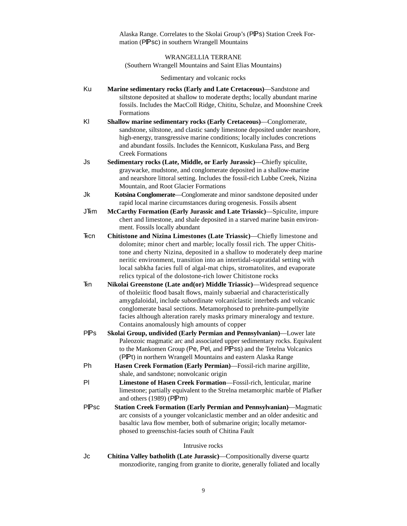Alaska Range. Correlates to the Skolai Group's (PPS) Station Creek Formation (PPsc) in southern Wrangell Mountains

WRANGELLIA TERRANE (Southern Wrangell Mountains and Saint Elias Mountains)

Sedimentary and volcanic rocks

- Ku **Marine sedimentary rocks (Early and Late Cretaceous)**—Sandstone and siltstone deposited at shallow to moderate depths; locally abundant marine fossils. Includes the MacColl Ridge, Chititu, Schulze, and Moonshine Creek Formations
- Kl **Shallow marine sedimentary rocks (Early Cretaceous)**—Conglomerate, sandstone, siltstone, and clastic sandy limestone deposited under nearshore, high-energy, transgressive marine conditions; locally includes concretions and abundant fossils. Includes the Kennicott, Kuskulana Pass, and Berg Creek Formations
- Js **Sedimentary rocks (Late, Middle, or Early Jurassic)**—Chiefly spiculite, graywacke, mudstone, and conglomerate deposited in a shallow-marine and nearshore littoral setting. Includes the fossil-rich Lubbe Creek, Nizina Mountain, and Root Glacier Formations
- Jk **Kotsina Conglomerate**—Conglomerate and minor sandstone deposited under rapid local marine circumstances during orogenesis. Fossils absent
- J^m **McCarthy Formation (Early Jurassic and Late Triassic)**—Spiculite, impure chert and limestone, and shale deposited in a starved marine basin environment. Fossils locally abundant
- ^cn **Chitistone and Nizina Limestones (Late Triassic)**—Chiefly limestone and dolomite; minor chert and marble; locally fossil rich. The upper Chitistone and cherty Nizina, deposited in a shallow to moderately deep marine neritic environment, transition into an intertidal-supratidal setting with local sabkha facies full of algal-mat chips, stromatolites, and evaporate relics typical of the dolostone-rich lower Chitistone rocks
- ^n **Nikolai Greenstone (Late and(or) Middle Triassic)**—Widespread sequence of tholeiitic flood basalt flows, mainly subaerial and characteristically amygdaloidal, include subordinate volcaniclastic interbeds and volcanic conglomerate basal sections. Metamorphosed to prehnite-pumpellyite facies although alteration rarely masks primary mineralogy and texture. Contains anomalously high amounts of copper
- PPs **Skolai Group, undivided (Early Permian and Pennsylvanian)—Lower late** Paleozoic magmatic arc and associated upper sedimentary rocks. Equivalent to the Mankomen Group (Pe, Pel, and PIPSS) and the Tetelna Volcanics (PPt) in northern Wrangell Mountains and eastern Alaska Range
- Ph **Hasen Creek Formation (Early Permian)**—Fossil-rich marine argillite, shale, and sandstone; nonvolcanic origin
- Pl **Limestone of Hasen Creek Formation**—Fossil-rich, lenticular, marine limestone; partially equivalent to the Strelna metamorphic marble of Plafker and others  $(1989)$  (PPm)
- PPSc **Station Creek Formation (Early Permian and Pennsylvanian)—Magmatic** arc consists of a younger volcaniclastic member and an older andesitic and basaltic lava flow member, both of submarine origin; locally metamorphosed to greenschist-facies south of Chitina Fault

#### Intrusive rocks

Jc **Chitina Valley batholith (Late Jurassic)**—Compositionally diverse quartz monzodiorite, ranging from granite to diorite, generally foliated and locally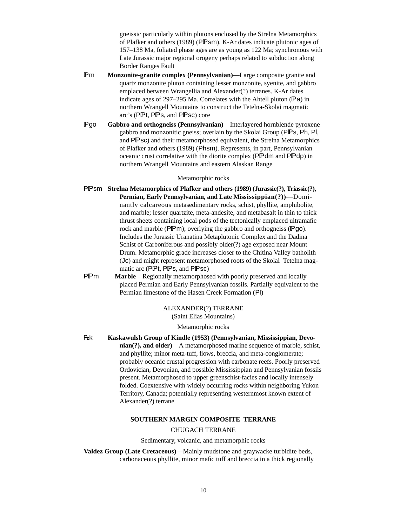gneissic particularly within plutons enclosed by the Strelna Metamorphics of Plafker and others (1989) (PPsm). K-Ar dates indicate plutonic ages of 157–138 Ma, foliated phase ages are as young as 122 Ma; synchronous with Late Jurassic major regional orogeny perhaps related to subduction along Border Ranges Fault

- **Pm Monzonite-granite complex (Pennsylvanian)—Large composite granite and** quartz monzonite pluton containing lesser monzonite, syenite, and gabbro emplaced between Wrangellia and Alexander(?) terranes. K-Ar dates indicate ages of  $297-295$  Ma. Correlates with the Ahtell pluton (Pa) in northern Wrangell Mountains to construct the Tetelna-Skolai magmatic arc's (PPt, PPs, and PPsc) core
- **Pgo Gabbro and orthogneiss (Pennsylvanian)**—Interlayered hornblende pyroxene gabbro and monzonitic gneiss; overlain by the Skolai Group (PPs, Ph, Pl, and PPSC) and their metamorphosed equivalent, the Strelna Metamorphics of Plafker and others (1989) (Phsm). Represents, in part, Pennsylvanian oceanic crust correlative with the diorite complex (PPdm and PPdp) in northern Wrangell Mountains and eastern Alaskan Range

#### Metamorphic rocks

- PPsm Strelna Metamorphics of Plafker and others (1989) (Jurassic(?), Triassic(?), **Permian, Early Pennsylvanian, and Late Mississippian(?))**—Dominantly calcareous metasedimentary rocks, schist, phyllite, amphibolite, and marble; lesser quartzite, meta-andesite, and metabasalt in thin to thick thrust sheets containing local pods of the tectonically emplaced ultramafic rock and marble ( $\mathsf{PPm}$ ); overlying the gabbro and orthogneiss ( $\mathsf{Pqo}$ ). Includes the Jurassic Uranatina Metaplutonic Complex and the Dadina Schist of Carboniferous and possibly older(?) age exposed near Mount Drum. Metamorphic grade increases closer to the Chitina Valley batholith (Jc) and might represent metamorphosed roots of the Skolai–Tetelna magmatic arc (PIPt, PIPs, and PIPsc)
- **PFM** Marble—Regionally metamorphosed with poorly preserved and locally placed Permian and Early Pennsylvanian fossils. Partially equivalent to the Permian limestone of the Hasen Creek Formation (Pl)

# ALEXANDER(?) TERRANE

(Saint Elias Mountains)

#### Metamorphic rocks

|k **Kaskawulsh Group of Kindle (1953) (Pennsylvanian, Mississippian, Devonian(?), and older)**—A metamorphosed marine sequence of marble, schist, and phyllite; minor meta-tuff, flows, breccia, and meta-conglomerate; probably oceanic crustal progression with carbonate reefs. Poorly preserved Ordovician, Devonian, and possible Mississippian and Pennsylvanian fossils present. Metamorphosed to upper greenschist-facies and locally intensely folded. Coextensive with widely occurring rocks within neighboring Yukon Territory, Canada; potentially representing westernmost known extent of Alexander(?) terrane

#### **SOUTHERN MARGIN COMPOSITE TERRANE**

#### CHUGACH TERRANE

Sedimentary, volcanic, and metamorphic rocks

**Valdez Group (Late Cretaceous)**—Mainly mudstone and graywacke turbidite beds, carbonaceous phyllite, minor mafic tuff and breccia in a thick regionally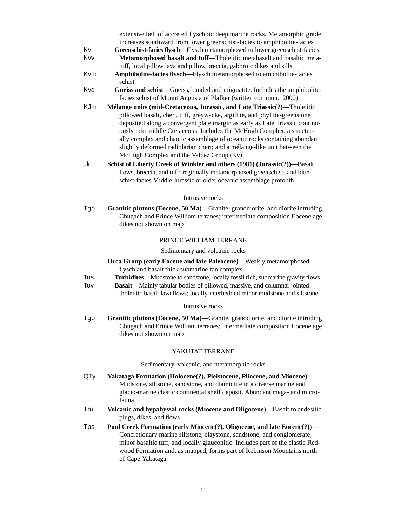extensive belt of accreted flyschoid deep marine rocks. Metamorphic grade increases southward from lower greenschist-facies to amphibolite-facies

- Kv **Greenschist-facies flysch**—Flysch metamorphosed to lower greenschist-facies Kvv **Metamorphosed basalt and tuff**—Tholeiitic metabasalt and basaltic metatuff, local pillow lava and pillow breccia, gabbroic dikes and sills
- Kvm **Amphibolite-facies flysch**—Flysch metamorphosed to amphibolite-facies schist
- Kvg **Gneiss and schist**—Gneiss, banded and migmatite. Includes the amphibolitefacies schist of Mount Augusta of Plafker (written commun., 2000)
- KJm **Mélange units (mid-Cretaceous, Jurassic, and Late Triassic(?)**—Tholeiitic pillowed basalt, chert, tuff, greywacke, argillite, and phyllite-greenstone deposited along a convergent plate margin as early as Late Triassic continuously into middle Cretaceous. Includes the McHugh Complex, a structurally complex and chaotic assemblage of oceanic rocks containing abundant slightly deformed radiolarian chert; and a mélange-like unit between the McHugh Complex and the Valdez Group (Kv)
- Jlc **Schist of Liberty Creek of Winkler and others (1981) (Jurassic(?))**—Basalt flows, breccia, and tuff; regionally metamorphosed greenschist- and blueschist-facies Middle Jurassic or older oceanic assemblage protolith

#### Intrusive rocks

Tgp **Granitic plutons (Eocene, 50 Ma)**—Granite, granodiorite, and diorite intruding Chugach and Prince William terranes; intermediate composition Eocene age dikes not shown on map

#### PRINCE WILLIAM TERRANE

Sedimentary and volcanic rocks

**Orca Group (early Eocene and late Paleocene)**—Weakly metamorphosed flysch and basalt thick submarine fan complex

- Tos **Turbidites**—Mudstone to sandstone, locally fossil rich, submarine gravity flows
- Tov **Basalt**—Mainly tabular bodies of pillowed, massive, and columnar jointed tholeiitic basalt lava flows; locally interbedded minor mudstone and siltstone

#### Intrusive rocks

Tgp **Granitic plutons (Eocene, 50 Ma)**—Granite, granodiorite, and diorite intruding Chugach and Prince William terranes; intermediate composition Eocene age dikes not shown on map

#### YAKUTAT TERRANE

Sedimentary, volcanic, and metamorphic rocks

- QTy **Yakataga Formation (Holocene(?), Pleistocene, Pliocene, and Miocene)** Mudstone, siltstone, sandstone, and diamictite in a diverse marine and glacio-marine clastic continental shelf deposit. Abundant mega- and microfauna
- Tm **Volcanic and hypabyssal rocks (Miocene and Oligocene)**—Basalt to andesitic plugs, dikes, and flows
- Tps **Poul Creek Formation (early Miocene(?), Oligocene, and late Eocene(?))** Concretionary marine siltstone, claystone, sandstone, and conglomerate, minor basaltic tuff, and locally glauconitic. Includes part of the clastic Redwood Formation and, as mapped, forms part of Robinson Mountains north of Cape Yakataga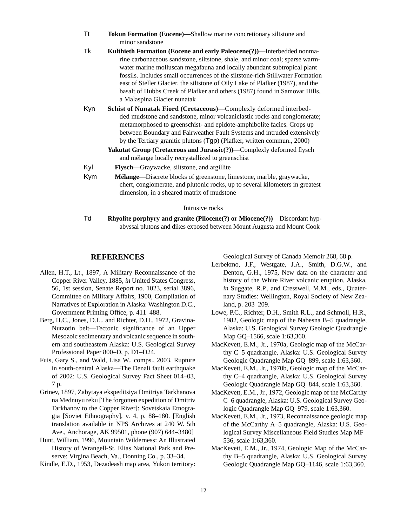| Tokun Formation (Eocene)—Shallow marine concretionary siltstone and |
|---------------------------------------------------------------------|
| minor sandstone                                                     |

- Tk **Kulthieth Formation (Eocene and early Paleocene(?))**—Interbedded nonmarine carbonaceous sandstone, siltstone, shale, and minor coal; sparse warmwater marine molluscan megafauna and locally abundant subtropical plant fossils. Includes small occurrences of the siltstone-rich Stillwater Formation east of Steller Glacier, the siltstone of Oily Lake of Plafker (1987), and the basalt of Hubbs Creek of Plafker and others (1987) found in Samovar Hills, a Malaspina Glacier nunatak
- Kyn **Schist of Nunatak Fiord (Cretaceous)**—Complexly deformed interbedded mudstone and sandstone, minor volcaniclastic rocks and conglomerate; metamorphosed to greenschist- and epidote-amphibolite facies. Crops up between Boundary and Fairweather Fault Systems and intruded extensively by the Tertiary granitic plutons (Tgp) (Plafker, written commun., 2000)
	- Yakutat Group (Cretaceous and Jurassic(?))—Complexly deformed flysch and mélange locally recrystallized to greenschist
- Kyf **Flysch**—Graywacke, siltstone, and argillite
- Kym **Mélange**—Discrete blocks of greenstone, limestone, marble, graywacke, chert, conglomerate, and plutonic rocks, up to several kilometers in greatest dimension, in a sheared matrix of mudstone

#### Intrusive rocks

Td **Rhyolite porphyry and granite (Pliocene(?) or Miocene(?))**—Discordant hypabyssal plutons and dikes exposed between Mount Augusta and Mount Cook

# **REFERENCES**

- Allen, H.T., Lt., 1897, A Military Reconnaissance of the Copper River Valley, 1885, *in* United States Congress, 56, 1st session, Senate Report no. 1023, serial 3896, Committee on Military Affairs, 1900, Compilation of Narratives of Exploration in Alaska: Washington D.C., Government Printing Office, p. 411–488.
- Berg, H.C., Jones, D.L., and Richter, D.H., 1972, Gravina-Nutzotin belt—Tectonic significance of an Upper Mesozoic sedimentary and volcanic sequence in southern and southeastern Alaska: U.S. Geological Survey Professional Paper 800–D, p. D1–D24.
- Fuis, Gary S., and Wald, Lisa W., comps., 2003, Rupture in south-central Alaska—The Denali fault earthquake of 2002: U.S. Geological Survey Fact Sheet 014–03, 7 p.
- Grinev, 1897, Zabytaya ekspeditsiya Dmitriya Tarkhanova na Mednuyu reku [The forgotten expedition of Dmitriv Tarkhanov to the Copper River]: Sovetskaia Etnogragia [Soviet Ethnography], v. 4, p. 88–180. [English translation available in NPS Archives at 240 W. 5th Ave., Anchorage, AK 99501, phone (907) 644–3480]
- Hunt, William, 1996, Mountain Wilderness: An Illustrated History of Wrangell-St. Elias National Park and Preserve: Virgina Beach, Va., Donning Co., p. 33–34.
- Kindle, E.D., 1953, Dezadeash map area, Yukon territory:

Geological Survey of Canada Memoir 268, 68 p.

- Lerbekmo, J.F., Westgate, J.A., Smith, D.G.W., and Denton, G.H., 1975, New data on the character and history of the White River volcanic eruption, Alaska, *in* Suggate, R.P., and Cresswell, M.M., eds., Quaternary Studies: Wellington, Royal Society of New Zealand, p. 203–209.
- Lowe, P.C., Richter, D.H., Smith R.L., and Schmoll, H.R., 1982, Geologic map of the Nabesna B–5 quadrangle, Alaska: U.S. Geological Survey Geologic Quadrangle Map GQ–1566, scale 1:63,360.
- MacKevett, E.M., Jr., 1970a, Geologic map of the McCarthy C–5 quadrangle, Alaska: U.S. Geological Survey Geologic Quadrangle Map GQ–899, scale 1:63,360.
- MacKevett, E.M., Jr., 1970b, Geologic map of the McCarthy C–4 quadrangle, Alaska: U.S. Geological Survey Geologic Quadrangle Map GQ–844, scale 1:63,360.
- MacKevett, E.M., Jr., 1972, Geologic map of the McCarthy C–6 quadrangle, Alaska: U.S. Geological Survey Geologic Quadrangle Map GQ–979, scale 1:63,360.
- MacKevett, E.M., Jr., 1973, Reconnaissance geologic map of the McCarthy A–5 quadrangle, Alaska: U.S. Geological Survey Miscellaneous Field Studies Map MF– 536, scale 1:63,360.
- MacKevett, E.M., Jr., 1974, Geologic Map of the McCarthy B–5 quadrangle, Alaska: U.S. Geological Survey Geologic Quadrangle Map GQ–1146, scale 1:63,360.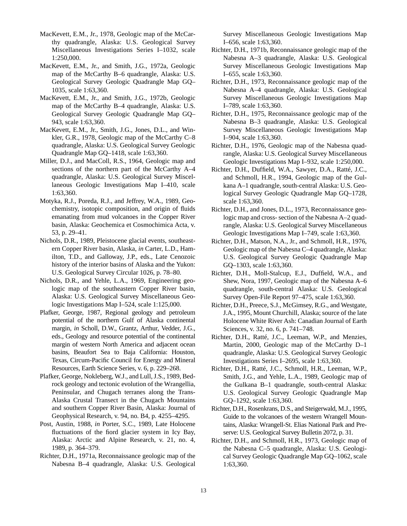- MacKevett, E.M., Jr., 1978, Geologic map of the McCarthy quadrangle, Alaska: U.S. Geological Survey Miscellaneous Investigations Series I–1032, scale 1:250,000.
- MacKevett, E.M., Jr., and Smith, J.G., 1972a, Geologic map of the McCarthy B–6 quadrangle, Alaska: U.S. Geological Survey Geologic Quadrangle Map GQ– 1035, scale 1:63,360.
- MacKevett, E.M., Jr., and Smith, J.G., 1972b, Geologic map of the McCarthy B–4 quadrangle, Alaska: U.S. Geological Survey Geologic Quadrangle Map GQ– 943, scale 1:63,360.
- MacKevett, E.M., Jr., Smith, J.G., Jones, D.L., and Winkler, G.R., 1978, Geologic map of the McCarthy C–8 quadrangle, Alaska: U.S. Geological Survey Geologic Quadrangle Map GQ–1418, scale 1:63,360.
- Miller, D.J., and MacColl, R.S., 1964, Geologic map and sections of the northern part of the McCarthy A–4 quadrangle, Alaska: U.S. Geological Survey Miscellaneous Geologic Investigations Map I–410, scale 1:63,360.
- Motyka, R.J., Poreda, R.J., and Jeffrey, W.A., 1989, Geochemistry, isotopic composition, and origin of fluids emanating from mud volcanoes in the Copper River basin, Alaska: Geochemica et Cosmochimica Acta, v. 53, p. 29–41.
- Nichols, D.R., 1989, Pleistocene glacial events, southeastern Copper River basin, Alaska, *in* Carter, L.D., Hamilton, T.D., and Galloway, J.P., eds., Late Cenozoic history of the interior basins of Alaska and the Yukon: U.S. Geological Survey Circular 1026, p. 78–80.
- Nichols, D.R., and Yehle, L.A., 1969, Engineering geologic map of the southeastern Copper River basin, Alaska: U.S. Geological Survey Miscellaneous Geologic Investigations Map I–524, scale 1:125,000.
- Plafker, George, 1987, Regional geology and petroleum potential of the northern Gulf of Alaska continental margin, *in* Scholl, D.W., Grantz, Arthur, Vedder, J.G., eds., Geology and resource potential of the continental margin of western North America and adjacent ocean basins, Beaufort Sea to Baja California: Houston, Texas, Circum-Pacific Council for Energy and Mineral Resources, Earth Science Series, v. 6, p. 229–268.
- Plafker, George, Nokleberg, W.J., and Lull, J.S., 1989, Bedrock geology and tectonic evolution of the Wrangellia, Peninsular, and Chugach terranes along the Trans-Alaska Crustal Transect in the Chugach Mountains and southern Copper River Basin, Alaska: Journal of Geophysical Research, v. 94, no. B4, p. 4255–4295.
- Post, Austin, 1988, *in* Porter, S.C., 1989, Late Holocene fluctuations of the fiord glacier system in Icy Bay, Alaska: Arctic and Alpine Research, v. 21, no. 4, 1989, p. 364–379.
- Richter, D.H., 1971a, Reconnaissance geologic map of the Nabesna B–4 quadrangle, Alaska: U.S. Geological

Survey Miscellaneous Geologic Investigations Map I–656, scale 1:63,360.

- Richter, D.H., 1971b, Reconnaissance geologic map of the Nabesna A–3 quadrangle, Alaska: U.S. Geological Survey Miscellaneous Geologic Investigations Map I–655, scale 1:63,360.
- Richter, D.H., 1973, Reconnaissance geologic map of the Nabesna A–4 quadrangle, Alaska: U.S. Geological Survey Miscellaneous Geologic Investigations Map I–789, scale 1:63,360.
- Richter, D.H., 1975, Reconnaissance geologic map of the Nabesna B–3 quadrangle, Alaska: U.S. Geological Survey Miscellaneous Geologic Investigations Map I–904, scale 1:63,360.
- Richter, D.H., 1976, Geologic map of the Nabesna quadrangle, Alaska: U.S. Geological Survey Miscellaneous Geologic Investigations Map I–932, scale 1:250,000.
- Richter, D.H., Duffield, W.A., Sawyer, D.A., Ratté, J.C., and Schmoll, H.R., 1994, Geologic map of the Gulkana A–1 quadrangle, south-central Alaska: U.S. Geological Survey Geologic Quadrangle Map GQ–1728, scale 1:63,360.
- Richter, D.H., and Jones, D.L., 1973, Reconnaissance geologic map and cross- section of the Nabesna A–2 quadrangle, Alaska: U.S. Geological Survey Miscellaneous Geologic Investigations Map I–749, scale 1:63,360.
- Richter, D.H., Matson, N.A., Jr., and Schmoll, H.R., 1976, Geologic map of the Nabesna C–4 quadrangle, Alaska: U.S. Geological Survey Geologic Quadrangle Map GQ–1303, scale 1:63,360.
- Richter, D.H., Moll-Stalcup, E.J., Duffield, W.A., and Shew, Nora, 1997, Geologic map of the Nabesna A–6 quadrangle, south-central Alaska: U.S. Geological Survey Open-File Report 97–475, scale 1:63,360.
- Richter, D.H., Preece, S.J., McGimsey, R.G., and Westgate, J.A., 1995, Mount Churchill, Alaska; source of the late Holocene White River Ash: Canadian Journal of Earth Sciences, v. 32, no. 6, p. 741–748.
- Richter, D.H., Ratté, J.C., Leeman, W.P., and Menzies, Martin, 2000, Geologic map of the McCarthy D–1 quadrangle, Alaska: U.S. Geological Survey Geologic Investigations Series I–2695, scale 1:63,360.
- Richter, D.H., Ratté, J.C., Schmoll, H.R., Leeman, W.P., Smith, J.G., and Yehle, L.A., 1989, Geologic map of the Gulkana B–1 quadrangle, south-central Alaska: U.S. Geological Survey Geologic Quadrangle Map GQ–1292, scale 1:63,360.
- Richter, D.H., Rosenkrans, D.S., and Steigerwald, M.J., 1995, Guide to the volcanoes of the western Wrangell Mountains, Alaska: Wrangell-St. Elias National Park and Preserve: U.S. Geological Survey Bulletin 2072, p. 31.
- Richter, D.H., and Schmoll, H.R., 1973, Geologic map of the Nabesna C–5 quadrangle, Alaska: U.S. Geological Survey Geologic Quadrangle Map GQ–1062, scale 1:63,360.